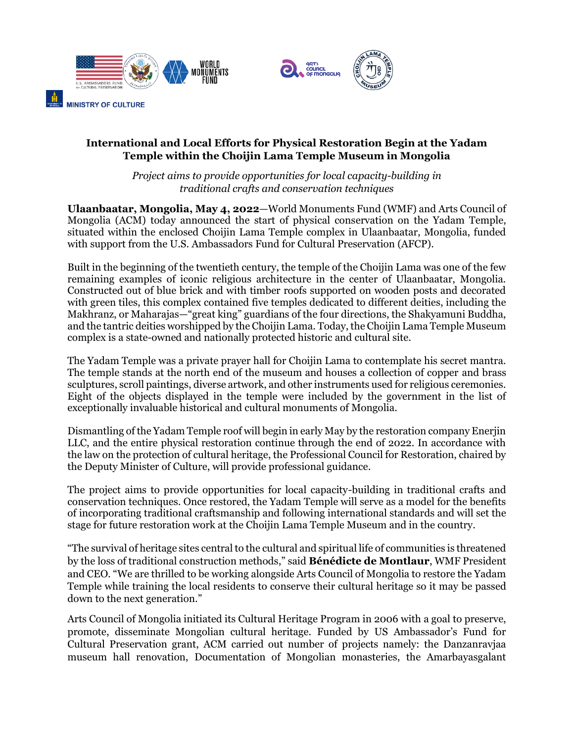

### **International and Local Efforts for Physical Restoration Begin at the Yadam Temple within the Choijin Lama Temple Museum in Mongolia**

*Project aims to provide opportunities for local capacity-building in traditional crafts and conservation techniques*

**Ulaanbaatar, Mongolia, May 4, 2022**—World Monuments Fund (WMF) and Arts Council of Mongolia (ACM) today announced the start of physical conservation on the Yadam Temple, situated within the enclosed Choijin Lama Temple complex in Ulaanbaatar, Mongolia, funded with support from the U.S. Ambassadors Fund for Cultural Preservation (AFCP).

Built in the beginning of the twentieth century, the temple of the Choijin Lama was one of the few remaining examples of iconic religious architecture in the center of Ulaanbaatar, Mongolia. Constructed out of blue brick and with timber roofs supported on wooden posts and decorated with green tiles, this complex contained five temples dedicated to different deities, including the Makhranz, or Maharajas—"great king" guardians of the four directions, the Shakyamuni Buddha, and the tantric deities worshipped by the Choijin Lama. Today, the Choijin Lama Temple Museum complex is a state-owned and nationally protected historic and cultural site.

The Yadam Temple was a private prayer hall for Choijin Lama to contemplate his secret mantra. The temple stands at the north end of the museum and houses a collection of copper and brass sculptures, scroll paintings, diverse artwork, and other instruments used for religious ceremonies. Eight of the objects displayed in the temple were included by the government in the list of exceptionally invaluable historical and cultural monuments of Mongolia.

Dismantling of the Yadam Temple roof will begin in early May by the restoration company Enerjin LLC, and the entire physical restoration continue through the end of 2022. In accordance with the law on the protection of cultural heritage, the Professional Council for Restoration, chaired by the Deputy Minister of Culture, will provide professional guidance.

The project aims to provide opportunities for local capacity-building in traditional crafts and conservation techniques. Once restored, the Yadam Temple will serve as a model for the benefits of incorporating traditional craftsmanship and following international standards and will set the stage for future restoration work at the Choijin Lama Temple Museum and in the country.

"The survival of heritage sites central to the cultural and spiritual life of communities is threatened by the loss of traditional construction methods," said **Bénédicte de Montlaur**, WMF President and CEO. "We are thrilled to be working alongside Arts Council of Mongolia to restore the Yadam Temple while training the local residents to conserve their cultural heritage so it may be passed down to the next generation."

Arts Council of Mongolia initiated its Cultural Heritage Program in 2006 with a goal to preserve, promote, disseminate Mongolian cultural heritage. Funded by US Ambassador's Fund for Cultural Preservation grant, ACM carried out number of projects namely: the Danzanravjaa museum hall renovation, Documentation of Mongolian monasteries, the Amarbayasgalant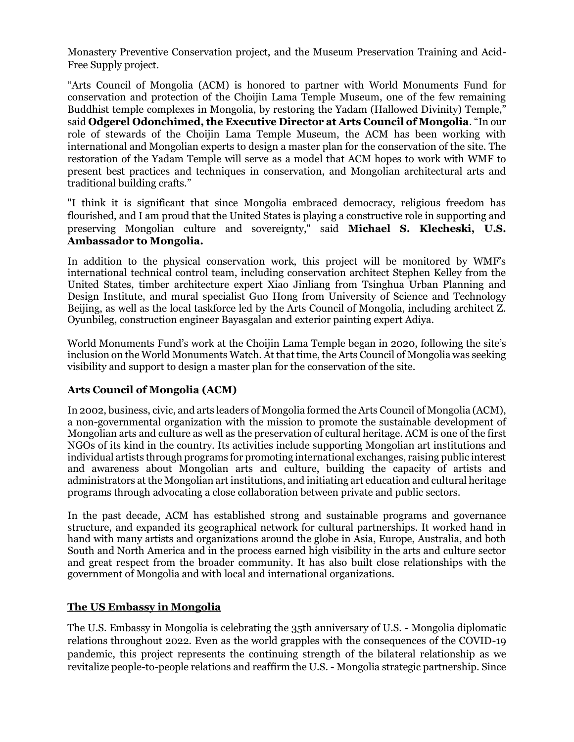Monastery Preventive Conservation project, and the Museum Preservation Training and Acid-Free Supply project.

"Arts Council of Mongolia (ACM) is honored to partner with World Monuments Fund for conservation and protection of the Choijin Lama Temple Museum, one of the few remaining Buddhist temple complexes in Mongolia, by restoring the Yadam (Hallowed Divinity) Temple," said **Odgerel Odonchimed, the Executive Director at Arts Council of Mongolia**. "In our role of stewards of the Choijin Lama Temple Museum, the ACM has been working with international and Mongolian experts to design a master plan for the conservation of the site. The restoration of the Yadam Temple will serve as a model that ACM hopes to work with WMF to present best practices and techniques in conservation, and Mongolian architectural arts and traditional building crafts."

"I think it is significant that since Mongolia embraced democracy, religious freedom has flourished, and I am proud that the United States is playing a constructive role in supporting and preserving Mongolian culture and sovereignty," said **Michael S. Klecheski, U.S. Ambassador to Mongolia.**

In addition to the physical conservation work, this project will be monitored by WMF's international technical control team, including conservation architect Stephen Kelley from the United States, timber architecture expert Xiao Jinliang from Tsinghua Urban Planning and Design Institute, and mural specialist Guo Hong from University of Science and Technology Beijing, as well as the local taskforce led by the Arts Council of Mongolia, including architect Z. Oyunbileg, construction engineer Bayasgalan and exterior painting expert Adiya.

World Monuments Fund's work at the Choijin Lama Temple began in 2020, following the site's inclusion on the World Monuments Watch. At that time, the Arts Council of Mongolia was seeking visibility and support to design a master plan for the conservation of the site.

## **Arts Council of Mongolia (ACM)**

In 2002, business, civic, and arts leaders of Mongolia formed the Arts Council of Mongolia (ACM), a non-governmental organization with the mission to promote the sustainable development of Mongolian arts and culture as well as the preservation of cultural heritage. ACM is one of the first NGOs of its kind in the country. Its activities include supporting Mongolian art institutions and individual artists through programs for promoting international exchanges, raising public interest and awareness about Mongolian arts and culture, building the capacity of artists and administrators at the Mongolian art institutions, and initiating art education and cultural heritage programs through advocating a close collaboration between private and public sectors.

In the past decade, ACM has established strong and sustainable programs and governance structure, and expanded its geographical network for cultural partnerships. It worked hand in hand with many artists and organizations around the globe in Asia, Europe, Australia, and both South and North America and in the process earned high visibility in the arts and culture sector and great respect from the broader community. It has also built close relationships with the government of Mongolia and with local and international organizations.

#### **The US Embassy in Mongolia**

The U.S. Embassy in Mongolia is celebrating the 35th anniversary of U.S. - Mongolia diplomatic relations throughout 2022. Even as the world grapples with the consequences of the COVID-19 pandemic, this project represents the continuing strength of the bilateral relationship as we revitalize people-to-people relations and reaffirm the U.S. - Mongolia strategic partnership. Since